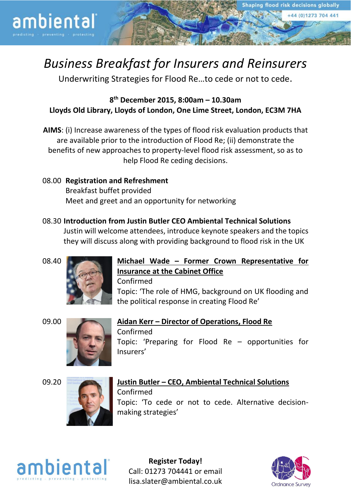+44 (0)1273 704 441

# *Business Breakfast for Insurers and Reinsurers*

Underwriting Strategies for Flood Re…to cede or not to cede.

**8 th December 2015, 8:00am – 10.30am Lloyds Old Library, Lloyds of London, One Lime Street, London, EC3M 7HA**

- **AIMS**: (i) Increase awareness of the types of flood risk evaluation products that are available prior to the introduction of Flood Re; (ii) demonstrate the benefits of new approaches to property-level flood risk assessment, so as to help Flood Re ceding decisions.
- 08.00 **Registration and Refreshment** Breakfast buffet provided Meet and greet and an opportunity for networking
- 08.30 **Introduction from Justin Butler CEO Ambiental Technical Solutions** Justin will welcome attendees, introduce keynote speakers and the topics they will discuss along with providing background to flood risk in the UK



ambiental



# 08.40 **Michael Wade – Former Crown Representative for Insurance at the Cabinet Office**

Confirmed Topic: 'The role of HMG, background on UK flooding and the political response in creating Flood Re'





09.00 **Aidan Kerr – Director of Operations, Flood Re** Confirmed Topic: 'Preparing for Flood Re – opportunities for Insurers'





### 09.20 **Justin Butler – CEO, Ambiental Technical Solutions** Confirmed Topic: 'To cede or not to cede. Alternative decisionmaking strategies'



**Register Today!** Call: 01273 704441 or email lisa.slater@ambiental.co.uk